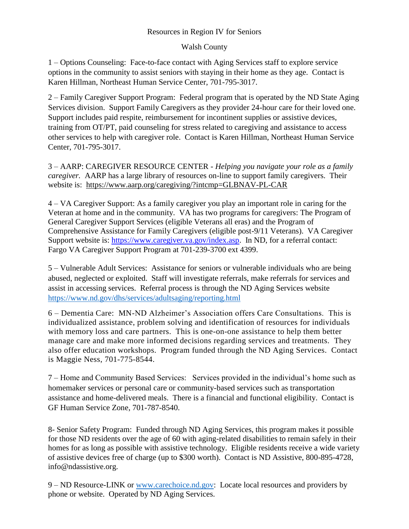## Resources in Region IV for Seniors

## Walsh County

1 – Options Counseling: Face-to-face contact with Aging Services staff to explore service options in the community to assist seniors with staying in their home as they age. Contact is Karen Hillman, Northeast Human Service Center, 701-795-3017.

2 – Family Caregiver Support Program: Federal program that is operated by the ND State Aging Services division. Support Family Caregivers as they provider 24-hour care for their loved one. Support includes paid respite, reimbursement for incontinent supplies or assistive devices, training from OT/PT, paid counseling for stress related to caregiving and assistance to access other services to help with caregiver role. Contact is Karen Hillman, Northeast Human Service Center, 701-795-3017.

3 – AARP: CAREGIVER RESOURCE CENTER - *Helping you navigate your role as a family caregiver.* AARP has a large library of resources on-line to support family caregivers. Their website is: <https://www.aarp.org/caregiving/?intcmp=GLBNAV-PL-CAR>

4 – VA Caregiver Support: As a family caregiver you play an important role in caring for the Veteran at home and in the community. VA has two programs for caregivers: The Program of General Caregiver Support Services (eligible Veterans all eras) and the Program of Comprehensive Assistance for Family Caregivers (eligible post-9/11 Veterans). VA Caregiver Support website is: [https://www.caregiver.va.gov/index.asp.](https://www.caregiver.va.gov/index.asp) In ND, for a referral contact: Fargo VA Caregiver Support Program at 701-239-3700 ext 4399.

5 – Vulnerable Adult Services: Assistance for seniors or vulnerable individuals who are being abused, neglected or exploited. Staff will investigate referrals, make referrals for services and assist in accessing services. Referral process is through the ND Aging Services website <https://www.nd.gov/dhs/services/adultsaging/reporting.html>

6 – Dementia Care: MN-ND Alzheimer's Association offers Care Consultations. This is individualized assistance, problem solving and identification of resources for individuals with memory loss and care partners. This is one-on-one assistance to help them better manage care and make more informed decisions regarding services and treatments. They also offer education workshops. Program funded through the ND Aging Services. Contact is Maggie Ness, 701-775-8544.

7 – Home and Community Based Services: Services provided in the individual's home such as homemaker services or personal care or community-based services such as transportation assistance and home-delivered meals. There is a financial and functional eligibility. Contact is GF Human Service Zone, 701-787-8540.

8- Senior Safety Program: Funded through ND Aging Services, this program makes it possible for those ND residents over the age of 60 with aging-related disabilities to remain safely in their homes for as long as possible with assistive technology. Eligible residents receive a wide variety of assistive devices free of charge (up to \$300 worth). Contact is ND Assistive, 800-895-4728, info@ndassistive.org.

9 – ND Resource-LINK or [www.carechoice.nd.gov:](http://www.carechoice.nd.gov/) Locate local resources and providers by phone or website. Operated by ND Aging Services.